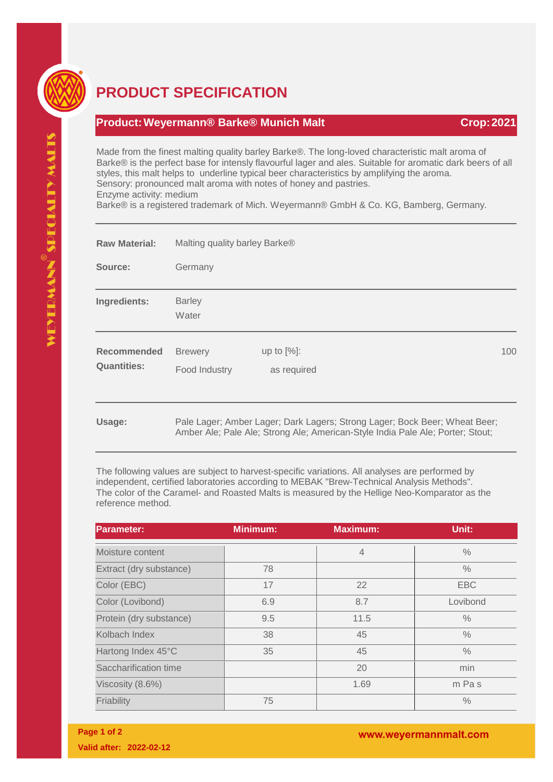

## **PRODUCT SPECIFICATION**

## **Product:Weyermann® Barke® Munich Malt Crop:2021**

Made from the finest malting quality barley Barke®. The long-loved characteristic malt aroma of Barke® is the perfect base for intensly flavourful lager and ales. Suitable for aromatic dark beers of all styles, this malt helps to underline typical beer characteristics by amplifying the aroma. Sensory: pronounced malt aroma with notes of honey and pastries. Enzyme activity: medium

Barke® is a registered trademark of Mich. Weyermann® GmbH & Co. KG, Bamberg, Germany.

| <b>Raw Material:</b>              | Malting quality barley Barke®   |                                                                                                                                                              |     |  |  |
|-----------------------------------|---------------------------------|--------------------------------------------------------------------------------------------------------------------------------------------------------------|-----|--|--|
| Source:                           | Germany                         |                                                                                                                                                              |     |  |  |
| Ingredients:                      | <b>Barley</b><br>Water          |                                                                                                                                                              |     |  |  |
| Recommended<br><b>Quantities:</b> | <b>Brewery</b><br>Food Industry | up to $[%]$ :<br>as required                                                                                                                                 | 100 |  |  |
| Usage:                            |                                 | Pale Lager; Amber Lager; Dark Lagers; Strong Lager; Bock Beer; Wheat Beer;<br>Amber Ale; Pale Ale; Strong Ale; American-Style India Pale Ale; Porter; Stout; |     |  |  |

The following values are subject to harvest-specific variations. All analyses are performed by independent, certified laboratories according to MEBAK "Brew-Technical Analysis Methods". The color of the Caramel- and Roasted Malts is measured by the Hellige Neo-Komparator as the reference method.

| <b>Parameter:</b>       | <b>Minimum:</b> | <b>Maximum:</b> | Unit:         |
|-------------------------|-----------------|-----------------|---------------|
| Moisture content        |                 | $\overline{4}$  | $\%$          |
| Extract (dry substance) | 78              |                 | $\frac{0}{0}$ |
| Color (EBC)             | 17              | 22              | <b>EBC</b>    |
| Color (Lovibond)        | 6.9             | 8.7             | Lovibond      |
| Protein (dry substance) | 9.5             | 11.5            | $\frac{0}{0}$ |
| Kolbach Index           | 38              | 45              | $\frac{0}{0}$ |
| Hartong Index 45°C      | 35              | 45              | $\frac{0}{0}$ |
| Saccharification time   |                 | 20              | min           |
| Viscosity (8.6%)        |                 | 1.69            | m Pas         |
| Friability              | 75              |                 | $\frac{0}{0}$ |